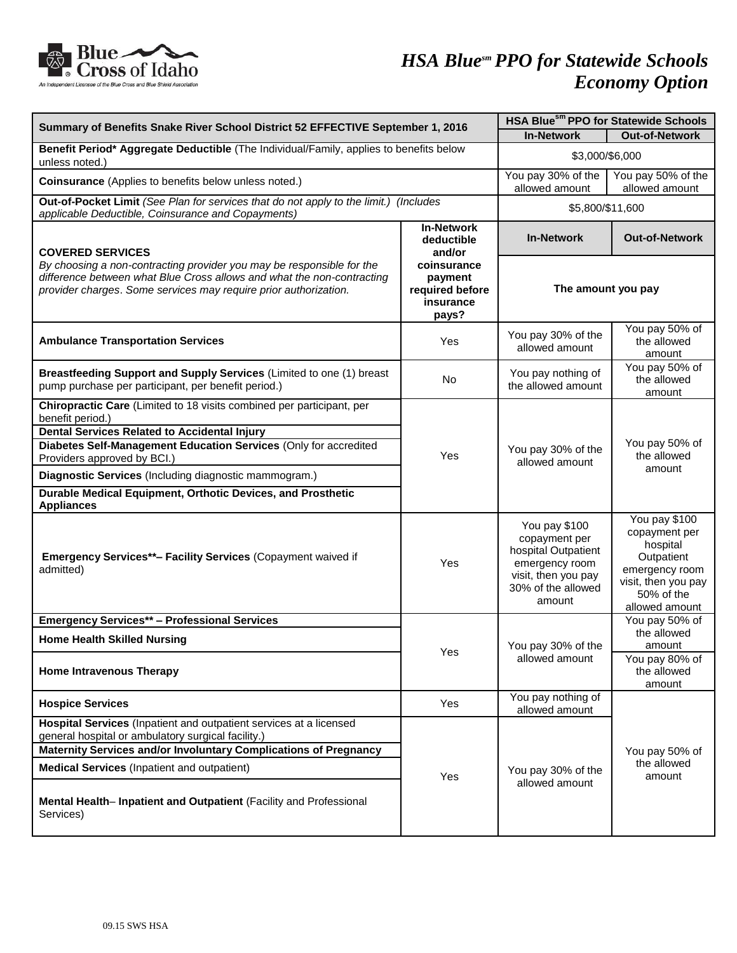

| Summary of Benefits Snake River School District 52 EFFECTIVE September 1, 2016                                                                                                                                                                                                                                                       |                                                                 | HSA Bluesm PPO for Statewide Schools                                                                                           |                                                                                                                                   |
|--------------------------------------------------------------------------------------------------------------------------------------------------------------------------------------------------------------------------------------------------------------------------------------------------------------------------------------|-----------------------------------------------------------------|--------------------------------------------------------------------------------------------------------------------------------|-----------------------------------------------------------------------------------------------------------------------------------|
|                                                                                                                                                                                                                                                                                                                                      |                                                                 | <b>In-Network</b>                                                                                                              | <b>Out-of-Network</b>                                                                                                             |
| Benefit Period* Aggregate Deductible (The Individual/Family, applies to benefits below<br>unless noted.)                                                                                                                                                                                                                             |                                                                 | \$3,000/\$6,000                                                                                                                |                                                                                                                                   |
| Coinsurance (Applies to benefits below unless noted.)                                                                                                                                                                                                                                                                                |                                                                 | You pay 30% of the<br>allowed amount                                                                                           | You pay 50% of the<br>allowed amount                                                                                              |
| Out-of-Pocket Limit (See Plan for services that do not apply to the limit.) (Includes<br>applicable Deductible, Coinsurance and Copayments)                                                                                                                                                                                          |                                                                 | \$5,800/\$11,600                                                                                                               |                                                                                                                                   |
| <b>COVERED SERVICES</b><br>By choosing a non-contracting provider you may be responsible for the<br>difference between what Blue Cross allows and what the non-contracting<br>provider charges. Some services may require prior authorization.                                                                                       | <b>In-Network</b><br>deductible<br>and/or                       | <b>In-Network</b>                                                                                                              | <b>Out-of-Network</b>                                                                                                             |
|                                                                                                                                                                                                                                                                                                                                      | coinsurance<br>payment<br>required before<br>insurance<br>pays? | The amount you pay                                                                                                             |                                                                                                                                   |
| <b>Ambulance Transportation Services</b>                                                                                                                                                                                                                                                                                             | Yes                                                             | You pay 30% of the<br>allowed amount                                                                                           | You pay 50% of<br>the allowed<br>amount                                                                                           |
| Breastfeeding Support and Supply Services (Limited to one (1) breast<br>pump purchase per participant, per benefit period.)                                                                                                                                                                                                          | No                                                              | You pay nothing of<br>the allowed amount                                                                                       | You pay 50% of<br>the allowed<br>amount                                                                                           |
| Chiropractic Care (Limited to 18 visits combined per participant, per<br>benefit period.)<br><b>Dental Services Related to Accidental Injury</b>                                                                                                                                                                                     | Yes                                                             | You pay 30% of the<br>allowed amount                                                                                           | You pay 50% of<br>the allowed<br>amount                                                                                           |
| Diabetes Self-Management Education Services (Only for accredited<br>Providers approved by BCI.)                                                                                                                                                                                                                                      |                                                                 |                                                                                                                                |                                                                                                                                   |
| Diagnostic Services (Including diagnostic mammogram.)                                                                                                                                                                                                                                                                                |                                                                 |                                                                                                                                |                                                                                                                                   |
| Durable Medical Equipment, Orthotic Devices, and Prosthetic<br><b>Appliances</b>                                                                                                                                                                                                                                                     |                                                                 |                                                                                                                                |                                                                                                                                   |
| Emergency Services**- Facility Services (Copayment waived if<br>admitted)                                                                                                                                                                                                                                                            | Yes                                                             | You pay \$100<br>copayment per<br>hospital Outpatient<br>emergency room<br>visit, then you pay<br>30% of the allowed<br>amount | You pay \$100<br>copayment per<br>hospital<br>Outpatient<br>emergency room<br>visit, then you pay<br>50% of the<br>allowed amount |
| <b>Emergency Services** - Professional Services</b>                                                                                                                                                                                                                                                                                  |                                                                 |                                                                                                                                | You pay 50% of                                                                                                                    |
| <b>Home Health Skilled Nursing</b>                                                                                                                                                                                                                                                                                                   | Yes                                                             | You pay 30% of the<br>allowed amount                                                                                           | the allowed<br>amount                                                                                                             |
| <b>Home Intravenous Therapy</b>                                                                                                                                                                                                                                                                                                      |                                                                 |                                                                                                                                | You pay 80% of<br>the allowed<br>amount                                                                                           |
| <b>Hospice Services</b>                                                                                                                                                                                                                                                                                                              | Yes                                                             | You pay nothing of<br>allowed amount                                                                                           |                                                                                                                                   |
| Hospital Services (Inpatient and outpatient services at a licensed<br>general hospital or ambulatory surgical facility.)<br>Maternity Services and/or Involuntary Complications of Pregnancy<br><b>Medical Services</b> (Inpatient and outpatient)<br>Mental Health-Inpatient and Outpatient (Facility and Professional<br>Services) | Yes                                                             | You pay 30% of the<br>allowed amount                                                                                           | You pay 50% of<br>the allowed<br>amount                                                                                           |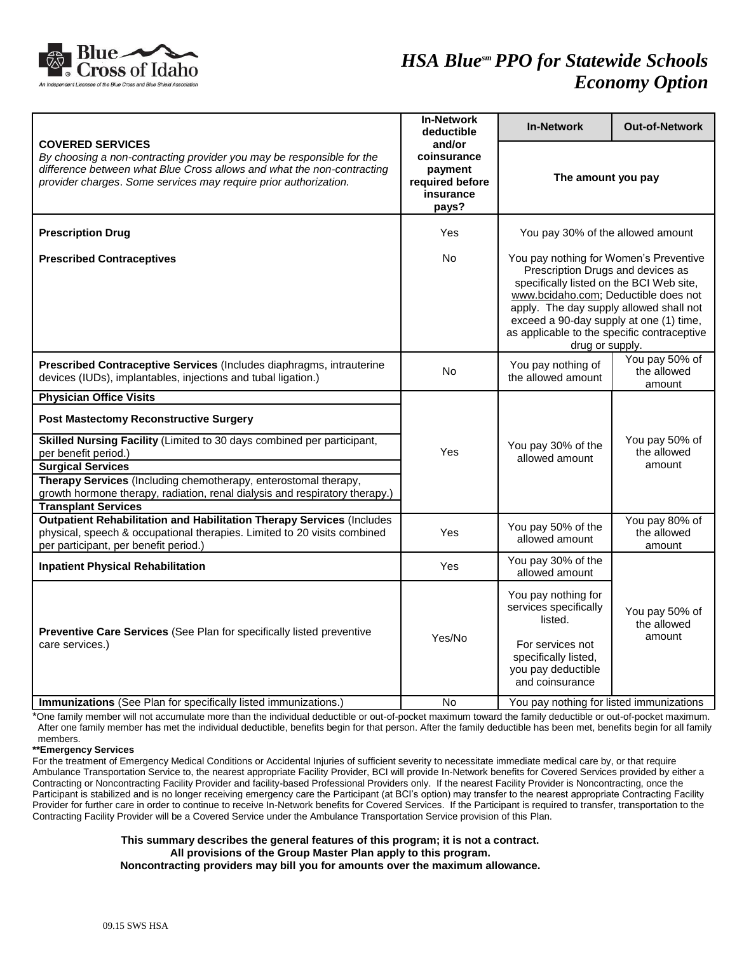

|                                                                                                                                                                                                                                                                                                                                                             | <b>In-Network</b><br>deductible                                           | <b>In-Network</b>                                                                                                                                                                                                                                                                                                       | <b>Out-of-Network</b>                   |
|-------------------------------------------------------------------------------------------------------------------------------------------------------------------------------------------------------------------------------------------------------------------------------------------------------------------------------------------------------------|---------------------------------------------------------------------------|-------------------------------------------------------------------------------------------------------------------------------------------------------------------------------------------------------------------------------------------------------------------------------------------------------------------------|-----------------------------------------|
| <b>COVERED SERVICES</b><br>By choosing a non-contracting provider you may be responsible for the<br>difference between what Blue Cross allows and what the non-contracting<br>provider charges. Some services may require prior authorization.                                                                                                              | and/or<br>coinsurance<br>payment<br>required before<br>insurance<br>pays? | The amount you pay                                                                                                                                                                                                                                                                                                      |                                         |
| <b>Prescription Drug</b>                                                                                                                                                                                                                                                                                                                                    | Yes                                                                       | You pay 30% of the allowed amount                                                                                                                                                                                                                                                                                       |                                         |
| <b>Prescribed Contraceptives</b>                                                                                                                                                                                                                                                                                                                            | No.                                                                       | You pay nothing for Women's Preventive<br>Prescription Drugs and devices as<br>specifically listed on the BCI Web site,<br>www.bcidaho.com; Deductible does not<br>apply. The day supply allowed shall not<br>exceed a 90-day supply at one (1) time,<br>as applicable to the specific contraceptive<br>drug or supply. |                                         |
| Prescribed Contraceptive Services (Includes diaphragms, intrauterine<br>devices (IUDs), implantables, injections and tubal ligation.)                                                                                                                                                                                                                       | No                                                                        | You pay nothing of<br>the allowed amount                                                                                                                                                                                                                                                                                | You pay 50% of<br>the allowed<br>amount |
| <b>Physician Office Visits</b>                                                                                                                                                                                                                                                                                                                              |                                                                           |                                                                                                                                                                                                                                                                                                                         |                                         |
| <b>Post Mastectomy Reconstructive Surgery</b><br>Skilled Nursing Facility (Limited to 30 days combined per participant,<br>per benefit period.)<br><b>Surgical Services</b><br>Therapy Services (Including chemotherapy, enterostomal therapy,<br>growth hormone therapy, radiation, renal dialysis and respiratory therapy.)<br><b>Transplant Services</b> | Yes                                                                       | You pay 30% of the<br>allowed amount                                                                                                                                                                                                                                                                                    | You pay 50% of<br>the allowed<br>amount |
| <b>Outpatient Rehabilitation and Habilitation Therapy Services (Includes</b><br>physical, speech & occupational therapies. Limited to 20 visits combined<br>per participant, per benefit period.)                                                                                                                                                           | Yes                                                                       | You pay 50% of the<br>allowed amount                                                                                                                                                                                                                                                                                    | You pay 80% of<br>the allowed<br>amount |
| <b>Inpatient Physical Rehabilitation</b>                                                                                                                                                                                                                                                                                                                    | Yes                                                                       | You pay 30% of the<br>allowed amount                                                                                                                                                                                                                                                                                    |                                         |
| Preventive Care Services (See Plan for specifically listed preventive<br>care services.)                                                                                                                                                                                                                                                                    | Yes/No                                                                    | You pay nothing for<br>services specifically<br>listed.<br>For services not<br>specifically listed,<br>you pay deductible<br>and coinsurance                                                                                                                                                                            | You pay 50% of<br>the allowed<br>amount |
| Immunizations (See Plan for specifically listed immunizations.)                                                                                                                                                                                                                                                                                             | No                                                                        | You pay nothing for listed immunizations                                                                                                                                                                                                                                                                                |                                         |

\*One family member will not accumulate more than the individual deductible or out-of-pocket maximum toward the family deductible or out-of-pocket maximum. After one family member has met the individual deductible, benefits begin for that person. After the family deductible has been met, benefits begin for all family members.

**\*\*Emergency Services**

For the treatment of Emergency Medical Conditions or Accidental Injuries of sufficient severity to necessitate immediate medical care by, or that require Ambulance Transportation Service to, the nearest appropriate Facility Provider, BCI will provide In-Network benefits for Covered Services provided by either a Contracting or Noncontracting Facility Provider and facility-based Professional Providers only. If the nearest Facility Provider is Noncontracting, once the Participant is stabilized and is no longer receiving emergency care the Participant (at BCI's option) may transfer to the nearest appropriate Contracting Facility Provider for further care in order to continue to receive In-Network benefits for Covered Services. If the Participant is required to transfer, transportation to the Contracting Facility Provider will be a Covered Service under the Ambulance Transportation Service provision of this Plan.

## **This summary describes the general features of this program; it is not a contract. All provisions of the Group Master Plan apply to this program.**

**Noncontracting providers may bill you for amounts over the maximum allowance.**